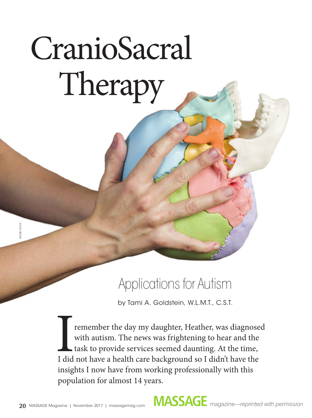# CranioSacral Therapy

# Applications for Autism

by Tami A. Goldstein, W.L.M.T., C.S.T.

I did not have a health care background so I didn't have the I did not have a health care background so I didn't have the remember the day my daughter, Heather, was diagnosed with autism. The news was frightening to hear and the task to provide services seemed daunting. At the time, insights I now have from working professionally with this population for almost 14 years.

ADOBE STOCK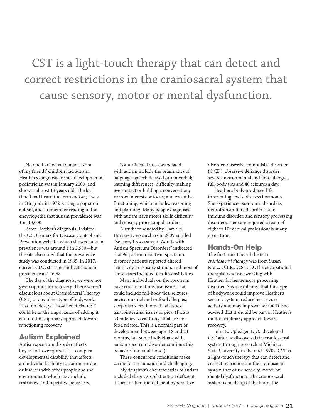## CST is a light-touch therapy that can detect and correct restrictions in the craniosacral system that cause sensory, motor or mental dysfunction.

No one I knew had autism. None of my friends' children had autism. Heather's diagnosis from a developmental pediatrician was in January 2000, and she was almost 13 years old. The last time I had heard the term *autism,* I was in 7th grade in 1972 writing a paper on autism, and I remember reading in the encyclopedia that autism prevalence was 1 in 10,000.

After Heather's diagnosis, I visited the U.S. Centers for Disease Control and Prevention website, which showed autism prevalence was around 1 in 2,500—but the site also noted that the prevalence study was conducted in 1985. In 2017, current CDC statistics indicate autism prevalence at 1 in 68.

The day of the diagnosis, we were not given options for recovery. There weren't discussions about CranioSacral Therapy (CST) or any other type of bodywork. I had no idea, yet, how beneficial CST could be or the importance of adding it as a multidisciplinary approach toward functioning recovery.

#### **Autism Explained**

Autism spectrum disorder affects boys 4 to 1 over girls. It is a complex developmental disability that affects an individual's ability to communicate or interact with other people and the environment, which may include restrictive and repetitive behaviors.

Some affected areas associated with autism include the pragmatics of language; speech delayed or nonverbal; learning differences; difficulty making eye contact or holding a conversation; narrow interests or focus; and executive functioning, which includes reasoning and planning. Many people diagnosed with autism have motor skills difficulty and sensory processing disorders.

A study conducted by Harvard University researchers in 2009 entitled "Sensory Processing in Adults with Autism Spectrum Disorders" indicated that 96 percent of autism spectrum disorder patients reported altered sensitivity to sensory stimuli, and most of those cases included tactile sensitivities.

Many individuals on the spectrum have concurrent medical issues that could include full-body tics, seizures, environmental and or food allergies, sleep disorders, biomedical issues, gastrointestinal issues or pica. (Pica is a tendency to eat things that are not food related. This is a normal part of development between ages 18 and 24 months, but some individuals with autism spectrum disorder continue this behavior into adulthood.)

These concurrent conditions make caring for an autistic child challenging.

My daughter's characteristics of autism included diagnosis of attention deficient disorder, attention deficient hyperactive

disorder, obsessive compulsive disorder (OCD), obsessive defiance disorder, severe environmental and food allergies, full-body tics and 40 seizures a day.

Heather's body produced lifethreatening levels of stress hormones. She experienced serotonin disorders, neurotransmitters disorders, auto immune disorder, and sensory processing disorders. Her care required a team of eight to 10 medical professionals at any given time.

#### **Hands-On Help**

The first time I heard the term *craniosacral therapy* was from Susan Kratz, O.T.R., C.S.T.-D., the occupational therapist who was working with Heather for her sensory processing disorder. Susan explained that this type of bodywork could improve Heather's sensory system, reduce her seizure activity and may improve her OCD. She advised that it should be part of Heather's multidisciplinary approach toward recovery.

John E. Upledger, D.O., developed CST after he discovered the craniosacral system through research at Michigan State University in the mid-1970s. CST is a light-touch therapy that can detect and correct restrictions in the craniosacral system that cause sensory, motor or mental dysfunction. The craniosacral system is made up of the brain, the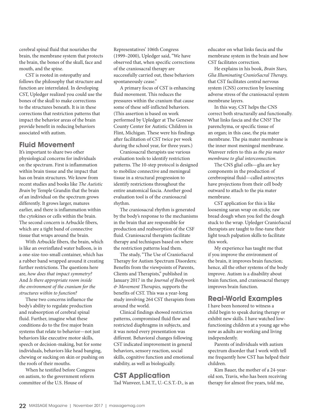cerebral spinal fluid that nourishes the brain, the membrane system that protects the brain, the bones of the skull, face and mouth, and the spine.

CST is rooted in osteopathy and follows the philosophy that structure and function are interrelated. In developing CST, Upledger realized you could use the bones of the skull to make corrections to the structures beneath. It is in these corrections that restriction patterns that impact the behavior areas of the brain provide benefit in reducing behaviors associated with autism.

#### **Fluid Movement**

It's important to share two other physiological concerns for individuals on the spectrum. First is inflammation within brain tissue and the impact that has on brain structures. We know from recent studies and books like *The Autistic Brain* by Temple Grandin that the brain of an individual on the spectrum grows differently. It grows larger, matures earlier, and there is inflammation within the cytokines or cells within the brain. The second concern is Arbuckle fibers, which are a tight band of connective tissue that wraps around the brain.

With Arbuckle fibers, the brain, which is like an overinflated water balloon, is in a one-size-too-small container, which has a rubber band wrapped around it creating further restrictions. The questions here are, *how does that impact symmetry?*  And *Is there appropriate room inside the environment of the cranium for the structures within to function?*

These two concerns influence the body's ability to regulate production and reabsorption of cerebral spinal fluid. Further, imagine what these conditions do to the five major brain systems that relate to behavior—not just behaviors like executive motor skills, speech or decision-making, but for some individuals, behaviors like head banging, chewing or sucking on skin or pushing on the roofs of their mouths.

When he testified before Congress on autism, to the government reform committee of the U.S. House of

Representatives' 106th Congress (1999–2000), Upledger said, "We have observed that, when specific corrections of the craniosacral therapy are successfully carried out, these behaviors spontaneously cease."

A primary focus of CST is enhancing fluid movement. This reduces the pressures within the cranium that cause some of these self-inflicted behaviors. (This assertion is based on work performed by Upledger at The Genesee County Center for Autistic Children in Flint, Michigan. These were his findings after facilitation of CST twice per week during the school year, for three years.)

Craniosacral therapists use various evaluation tools to identify restriction patterns. The 10-step protocol is designed to mobilize connective and meningeal tissue in a structural progression to identify restrictions throughout the entire anatomical fascia. Another good evaluation tool is of the craniosacral rhythm.

The craniosacral rhythm is generated by the body's response to the mechanisms in the brain that are responsible for production and reabsorption of the CSF fluid. Craniosacral therapists facilitate therapy and techniques based on where the restriction patterns lead them.

The study, "The Use of CranioSacral Therapy for Autism Spectrum Disorders; Benefits from the viewpoints of Parents, Clients and Therapists," published in January 2017 in the *Journal of Bodywork & Movement Therapies,* supports the benefits of CST. This was a year-long study involving 264 CST therapists from around the world.

Clinical findings showed restriction patterns, compromised fluid flow and restricted diaphragms in subjects, and it was noted every presentation was different. Behavioral changes following CST indicated improvement in general behaviors, sensory reaction, social skills, cognitive function and emotional stability, as well as biologically.

### **CST Application**

Tad Wanveer, L.M.T., U.-C.S.T.-D., is an

educator on what links fascia and the membrane system in the brain and how CST facilitates correction.

He explains in his book, *Brain Stars, Glia Illuminating CranioSacral Therapy,*  that CST facilitates central nervous system (CNS) correction by lessening adverse stress of the craniosacral system membrane layers.

In this way, CST helps the CNS correct both structurally and functionally. What links fascia and the CNS? The parenchyma, or specific tissue of an organ; in this case, the pia mater membrane. The pia mater membrane is the inner most meningeal membrane. Wanveer refers to this as *the pia mater membrane to glial interconnection.*

The CNS glial cells—glia are key components in the production of cerebrospinal fluid—called astrocytes have projections from their cell body outward to attach to the pia mater membrane.

CST application for this is like loosening saran wrap on sticky, raw bread dough when you feel the dough stuck to the wrap. Upledger CranioSacral therapists are taught to fine-tune their light touch palpation skills to facilitate this work.

My experience has taught me that if you improve the environment of the brain, it improves brain function; hence, all the other systems of the body improve. Autism is a disability about brain function, and craniosacral therapy improves brain function.

#### **Real-World Examples**

I have been honored to witness a child begin to speak during therapy or exhibit new skills. I have watched lowfunctioning children at a young age who now as adults are working and living independently.

Parents of individuals with autism spectrum disorder that I work with tell me frequently how CST has helped their children.

Kim Bauer, the mother of a 24-yearold son, Travis, who has been receiving therapy for almost five years, told me,